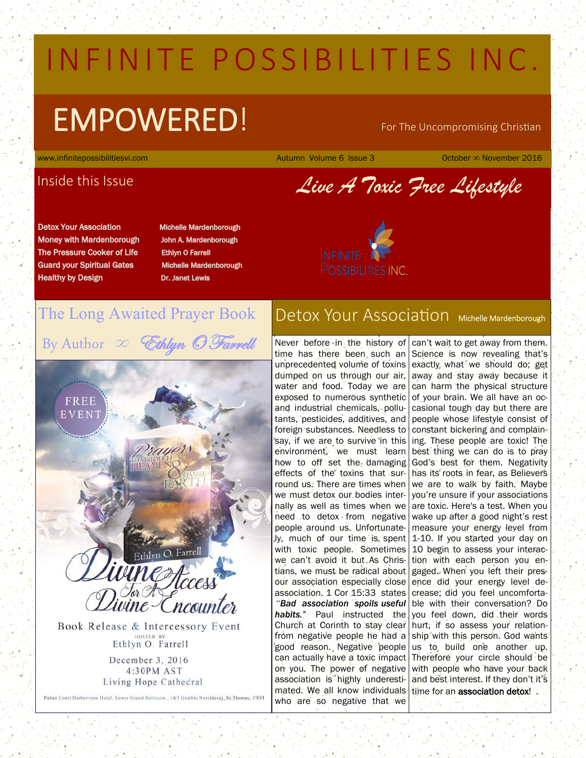# IN FINITE POSSIBILITIES INC.

# $EMPOWERED!$  For The Uncompromising Christian

www.infinitepossibilitiesvi.com Autumn Volume 6 Issue 3 October ∞ November 2016

## Inside this Issue

*Live A Toxic Free Lifestyle*

**Detox Your Association Money with Mardenborough** The Pressure Cooker of Life **Guard your Spiritual Gates Healthy by Design** 

> FREE EVENT

**Michelle Mardenborough** John A. Mardenborough **Ethlyn O Farrell Michelle Mardenborough Dr. Janet Lewis** 



# The Long Awaited Prayer Book

By Author  $\infty$  Ethlyn  $\mathcal O$  Farrell

Ethlyn O. Farrell ncour Book Release & Intercessory Event

HOSTED BY<br>Ethlyn O. Farrell December 3, 2016 4:30PM AST Living Hope Cathedral

Palms Court Harborview Hotel, Lower Grand Ballroom, 4&5 Gamble Norsidevej, St.Thomas, USVI

# Detox Your Association Michelle Mardenborough

Never before in the history of time has there been such an unprecedented volume of toxins dumped on us through our air, water and food. Today we are exposed to numerous synthetic and industrial chemicals, pollutants, pesticides, additives, and foreign substances. Needless to say, if we are to survive in this environment, we must learn how to off set the damaging effects of the toxins that surround us. There are times when we must detox our bodies internally as well as times when we need to detox from negative people around us. Unfortunately,much of our time is spent with toxic people. Sometimes we can't avoid it but As Christians, we must be radical about our association especially close association. 1 Cor 15:33 states *"Bad association spoils useful*  **habits."** Paul instructed the Church at Corinth to stay clear from negative people he had a good reason. Negative people can actually have a toxic impact on you. The power of negative association is highly underestimated. We all know individuals time for an association detox! who are so negative that we

can't wait to get away from them. Science is now revealing that's exactly what we should do; get away and stay away because it can harm the physical structure of your brain. We all have an occasional tough day but there are people whose lifestyle consist of constant bickering and complaining. These people are toxic! The best thing we can do is to pray God's best for them. Negativity has its roots in fear, as Believers we are to walk by faith. Maybe you're unsure if your associations are toxic. Here's a test. When you wake up after a good night's rest measure your energy level from 1-10. If you started your day on 10 begin to assess your interaction with each person you engaged. When you left their presence did your energy level decrease; did you feel uncomfortable with their conversation? Do you feel down, did their words hurt, if so assess your relationship with this person. God wants us to build one another up. Therefore your circle should be with people who have your back and best interest. If they don't it's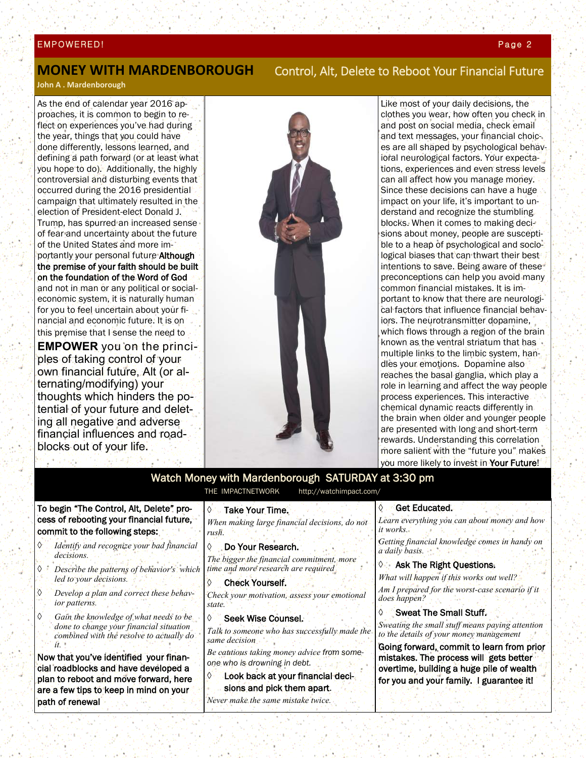#### EMPOWERED! Page 2 | Page 2 | Page 2 | Page 2 | Page 2 | Page 2 | Page 2 | Page 2 | Page 2 | Page 2 | Page 2 |

### **MONEY WITH MARDENBOROUGH** Control, Alt, Delete to Reboot Your Financial Future

**John A . Mardenborough** 

As the end of calendar year 2016 approaches, it is common to begin to reflect on experiences you've had during the year, things that you could have done differently, lessons learned, and defining a path forward (or at least what you hope to do). Additionally, the highly controversial and disturbing events that occurred during the 2016 presidential campaign that ultimately resulted in the election of President-elect Donald J. Trump, has spurred an increased sense of fear and uncertainty about the future of the United States and more importantly your personal future Although the premise of your faith should be built on the foundation of the Word of God and not in man or any political or socialeconomic system, it is naturally human for you to feel uncertain about your financial and economic future. It is on this premise that I sense the need to

**EMPOWER** you on the principles of taking control of your own financial future, Alt (or alternating/modifying) your thoughts which hinders the potential of your future and deleting all negative and adverse financial influences and roadblocks out of your life**.** 



Like most of your daily decisions, the clothes you wear, how often you check in and post on social media, check email and text messages, your financial choices are all shaped by psychological behavioral neurological factors. Your expectations, experiences and even stress levels can all affect how you manage money. Since these decisions can have a huge impact on your life, it's important to understand and recognize the stumbling blocks. When it comes to making decisions about money, people are susceptible to a heap of psychological and sociological biases that can thwart their best intentions to save. Being aware of these preconceptions can help you avoid many common financial mistakes. It is important to know that there are neurological factors that influence financial behaviors. The neurotransmitter dopamine, which flows through a region of the brain known as the ventral striatum that has multiple links to the limbic system, handles your emotions. Dopamine also reaches the basal ganglia, which play a role in learning and affect the way people process experiences. This interactive chemical dynamic reacts differently in the brain when older and younger people are presented with long and short-term rewards. Understanding this correlation more salient with the "future you" makes you more likely to invest in Your Future!

#### Watch Money with Mardenborough SATURDAY at 3:30 pm THE IMPACTNETWORK http://watchimpact.com/

To begin "The Control, Alt, Delete" process of rebooting your financial future, commit to the following steps:

나는 다리

计程序设施

- *Identify and recognize your bad financial decisions.*
- *Describe the patterns of behavior's which led to your decisions.*
- *Develop a plan and correct these behavior patterns.*
- *Gain the knowledge of what needs to be done to change your financial situation combined with the resolve to actually do it.*

Now that you've identified your financial roadblocks and have developed a plan to reboot and move forward, here are a few tips to keep in mind on your path of renewal

Take Your Time.

*When making large financial decisions, do not rush.*

 Do Your Research. *The bigger the financial commitment, more time and more research are required*

♦ Check Yourself. *Check your motivation, assess your emotional state.*

Seek Wise Counsel.

*Talk to someone who has successfully made the same decision* 

*Be cautious taking money advice from someone who is drowning in debt.*

 Look back at your financial decisions and pick them apart.

*Never make the same mistake twice.*

#### Get Educated.

*Learn everything you can about money and how it works. Getting financial knowledge comes in handy on a daily basis.*

#### **Ask The Right Questions.**

*What will happen if this works out well? Am I prepared for the worst-case scenario if it does happen?*

### Sweat The Small Stuff.

*Sweating the small stuff means paying attention to the details of your money management*

Going forward, commit to learn from prior mistakes. The process will gets better overtime, building a huge pile of wealth for you and your family. I guarantee it!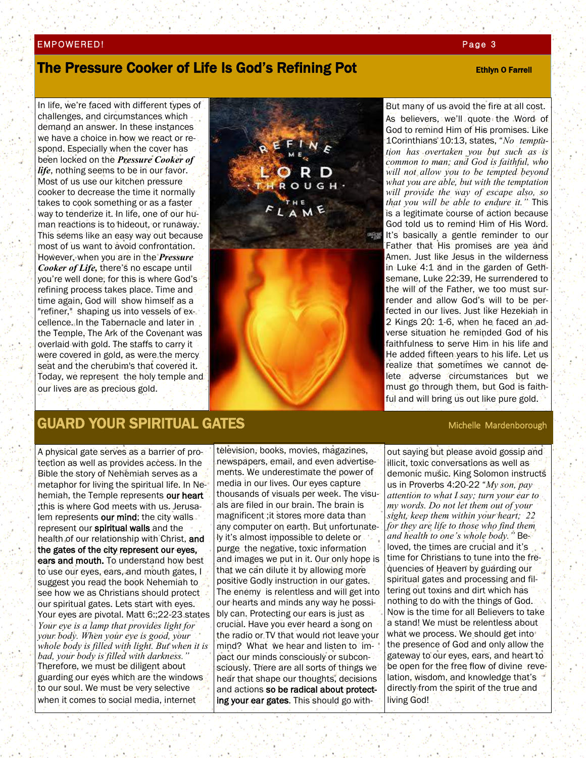#### EMPOWERED! Page 3 and 200 million and 200 million and 200 million and 200 million and 200 million and 200 million

## The Pressure Cooker of Life Is God's Refining Pot **Example 2018** Ethiyn O Farrell

In life, we're faced with different types of challenges, and circumstances which demand an answer. In these instances we have a choice in how we react or respond. Especially when the cover has been locked on the *Pressure Cooker of life*, nothing seems to be in our favor. Most of us use our kitchen pressure cooker to decrease the time it normally takes to cook something or as a faster way to tenderize it. In life, one of our human reactions is to hideout, or runaway. This seems like an easy way out because most of us want to avoid confrontation. However, when you are in the *Pressure Cooker of Life,* there's no escape until you're well done, for this is where God's refining process takes place. Time and time again, God will show himself as a "refiner," shaping us into vessels of excellence. In the Tabernacle and later in the Temple, The Ark of the Covenant was overlaid with gold. The staffs to carry it were covered in gold, as were the mercy seat and the cherubim's that covered it. Today, we represent the holy temple and our lives are as precious gold.



But many of us avoid the fire at all cost. As believers, we'll quote the Word of God to remind Him of His promises. Like 1Corinthians 10:13, states, "*No temptation has overtaken you but such as is common to man; and God is faithful, who will not allow you to be tempted beyond what you are able, but with the temptation will provide the way of escape also, so that you will be able to endure it."* This is a legitimate course of action because God told us to remind Him of His Word. It's basically a gentle reminder to our Father that His promises are yea and Amen. Just like Jesus in the wilderness in Luke 4:1 and in the garden of Gethsemane, Luke 22:39, He surrendered to the will of the Father, we too must surrender and allow God's will to be perfected in our lives. Just like Hezekiah in 2 Kings 20: 1-6, when he faced an adverse situation he reminded God of his faithfulness to serve Him in his life and He added fifteen years to his life. Let us realize that sometimes we cannot delete adverse circumstances but we must go through them, but God is faithful and will bring us out like pure gold.

# GUARD YOUR SPIRITUAL GATES **Michelle Mardenborough**

A physical gate serves as a barrier of protection as well as provides access. In the Bible the story of Nehemiah serves as a metaphor for living the spiritual life. In Nehemiah, the Temple represents our heart ;this is where God meets with us. Jerusalem represents our mind; the city walls represent our spiritual walls and the health of our relationship with Christ, and the gates of the city represent our eyes, ears and mouth. To understand how best to use our eyes, ears, and mouth gates, I suggest you read the book Nehemiah to see how we as Christians should protect our spiritual gates. Lets start with eyes. Your eyes are pivotal. Matt 6:;22-23 states *Your eye is a lamp that provides light for your body. When your eye is good, your whole body is filled with light. But when it is bad, your body is filled with darkness."*  Therefore, we must be diligent about guarding our eyes which are the windows to our soul. We must be very selective when it comes to social media, internet

television, books, movies, magazines, newspapers, email, and even advertisements. We underestimate the power of media in our lives. Our eyes capture thousands of visuals per week. The visuals are filed in our brain. The brain is magnificent ;it stores more data than any computer on earth. But unfortunately it's almost impossible to delete or purge the negative, toxic information and images we put in it. Our only hope is that we can dilute it by allowing more positive Godly instruction in our gates. The enemy is relentless and will get into our hearts and minds any way he possibly can. Protecting our ears is just as crucial. Have you ever heard a song on the radio or TV that would not leave your mind? What we hear and listen to impact our minds consciously or subconsciously. There are all sorts of things we hear that shape our thoughts, decisions and actions so be radical about protecting your ear gates. This should go with-

out saying but please avoid gossip and illicit, toxic conversations as well as demonic music. King Solomon instructs us in Proverbs 4:20-22 "*My son, pay attention to what I say; turn your ear to my words. Do not let them out of your sight, keep them within your heart; 22 for they are life to those who find them and health to one's whole body."* Beloved, the times are crucial and it's time for Christians to tune into the frequencies of Heaven by guarding our spiritual gates and processing and filtering out toxins and dirt which has nothing to do with the things of God. Now is the time for all Believers to take a stand! We must be relentless about what we process. We should get into the presence of God and only allow the gateway to our eyes, ears, and heart to be open for the free flow of divine revelation, wisdom, and knowledge that's directly from the spirit of the true and living God!